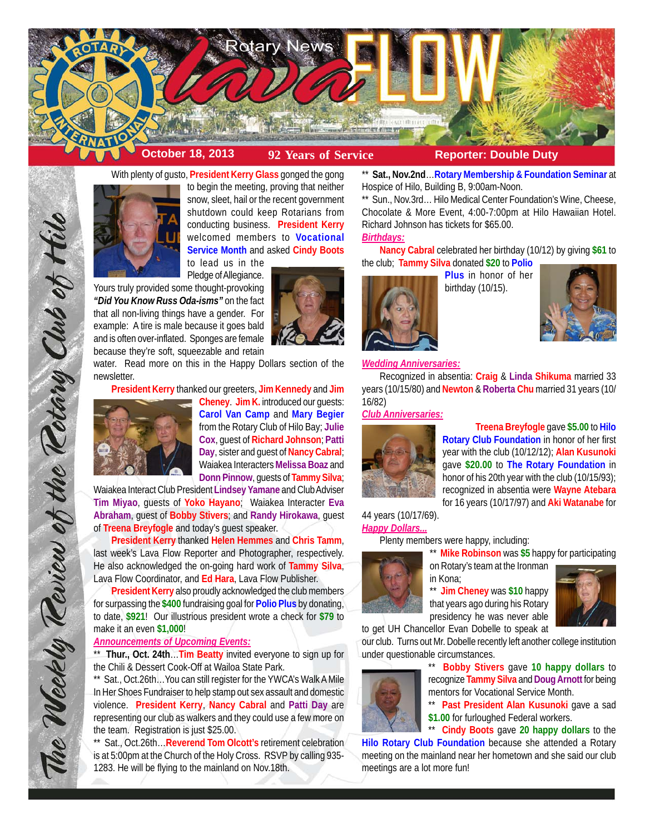

With plenty of gusto, **President Kerry Glass** gonged the gong

to begin the meeting, proving that neither snow, sleet, hail or the recent government shutdown could keep Rotarians from conducting business. **President Kerry** welcomed members to **Vocational Service Month** and asked **Cindy Boots**

to lead us in the Pledge of Allegiance.

Yours truly provided some thought-provoking *"Did You Know Russ Oda-isms"* on the fact that all non-living things have a gender. For example: A tire is male because it goes bald and is often over-inflated. Sponges are female because they're soft, squeezable and retain

water. Read more on this in the Happy Dollars section of the newsletter.

**President Kerry** thanked our greeters, **Jim Kennedy** and **Jim**



The Weekly Teview of the Tetary Club of Hilo

**Cheney**. **Jim K.** introduced our guests: **Carol Van Camp** and **Mary Begier** from the Rotary Club of Hilo Bay; **Julie Cox**, guest of **Richard Johnson**; **Patti Day**, sister and guest of **Nancy Cabral**; Waiakea Interacters **Melissa Boaz** and **Donn Pinnow**, guests of **Tammy Silva**;

Waiakea Interact Club President **Lindsey Yamane** and Club Adviser **Tim Miyao**, guests of **Yoko Hayano**; Waiakea Interacter **Eva Abraham**, guest of **Bobby Stivers**; and **Randy Hirokawa**, guest of **Treena Breyfogle** and today's guest speaker.

**President Kerry** thanked **Helen Hemmes** and **Chris Tamm**, last week's Lava Flow Reporter and Photographer, respectively. He also acknowledged the on-going hard work of **Tammy Silva**, Lava Flow Coordinator, and **Ed Hara**, Lava Flow Publisher.

**President Kerry** also proudly acknowledged the club members for surpassing the **\$400** fundraising goal for **Polio Plus** by donating, to date, **\$921**! Our illustrious president wrote a check for **\$79** to make it an even **\$1,000**!

# *Announcements of Upcoming Events:*

\*\* **Thur., Oct. 24th**…**Tim Beatty** invited everyone to sign up for the Chili & Dessert Cook-Off at Wailoa State Park.

\*\* Sat., Oct.26th…You can still register for the YWCA's Walk A Mile In Her Shoes Fundraiser to help stamp out sex assault and domestic violence. **President Kerry**, **Nancy Cabral** and **Patti Day** are representing our club as walkers and they could use a few more on the team. Registration is just \$25.00.

\*\* Sat., Oct.26th…**Reverend Tom Olcott's** retirement celebration is at 5:00pm at the Church of the Holy Cross. RSVP by calling 935- 1283. He will be flying to the mainland on Nov.18th.

\*\* **Sat., Nov.2nd**…**Rotary Membership & Foundation Seminar** at Hospice of Hilo, Building B, 9:00am-Noon.

Sun., Nov.3rd... Hilo Medical Center Foundation's Wine, Cheese, Chocolate & More Event, 4:00-7:00pm at Hilo Hawaiian Hotel. Richard Johnson has tickets for \$65.00.

# *Birthdays:*

**Nancy Cabral** celebrated her birthday (10/12) by giving **\$61** to the club; **Tammy Silva** donated **\$20** to **Polio**



**Plus** in honor of her birthday (10/15).



### *Wedding Anniversaries:*

Recognized in absentia: **Craig** & **Linda Shikuma** married 33 years (10/15/80) and **Newton** & **Roberta Chu** married 31 years (10/ 16/82)

## *Club Anniversaries:*



**Treena Breyfogle** gave **\$5.00** to **Hilo Rotary Club Foundation** in honor of her first year with the club (10/12/12); **Alan Kusunoki** gave **\$20.00** to **The Rotary Foundation** in honor of his 20th year with the club (10/15/93); recognized in absentia were **Wayne Atebara** for 16 years (10/17/97) and **Aki Watanabe** for

44 years (10/17/69). *Happy Dollars...*

Plenty members were happy, including:

\*\* **Mike Robinson** was **\$5** happy for participating



on Rotary's team at the Ironman in Kona;

\*\* **Jim Cheney** was **\$10** happy that years ago during his Rotary presidency he was never able to get UH Chancellor Evan Dobelle to speak at



our club. Turns out Mr. Dobelle recently left another college institution under questionable circumstances.



\*\* **Bobby Stivers** gave **10 happy dollars** to recognize **Tammy Silva** and **Doug Arnott** for being mentors for Vocational Service Month.

\*\* **Past President Alan Kusunoki** gave a sad \$1.00 for furloughed Federal workers.<br>\*\* Cindy Boots gave 20 happy doll

**Cindy Boots** gave 20 happy dollars to the

**Hilo Rotary Club Foundation** because she attended a Rotary meeting on the mainland near her hometown and she said our club meetings are a lot more fun!